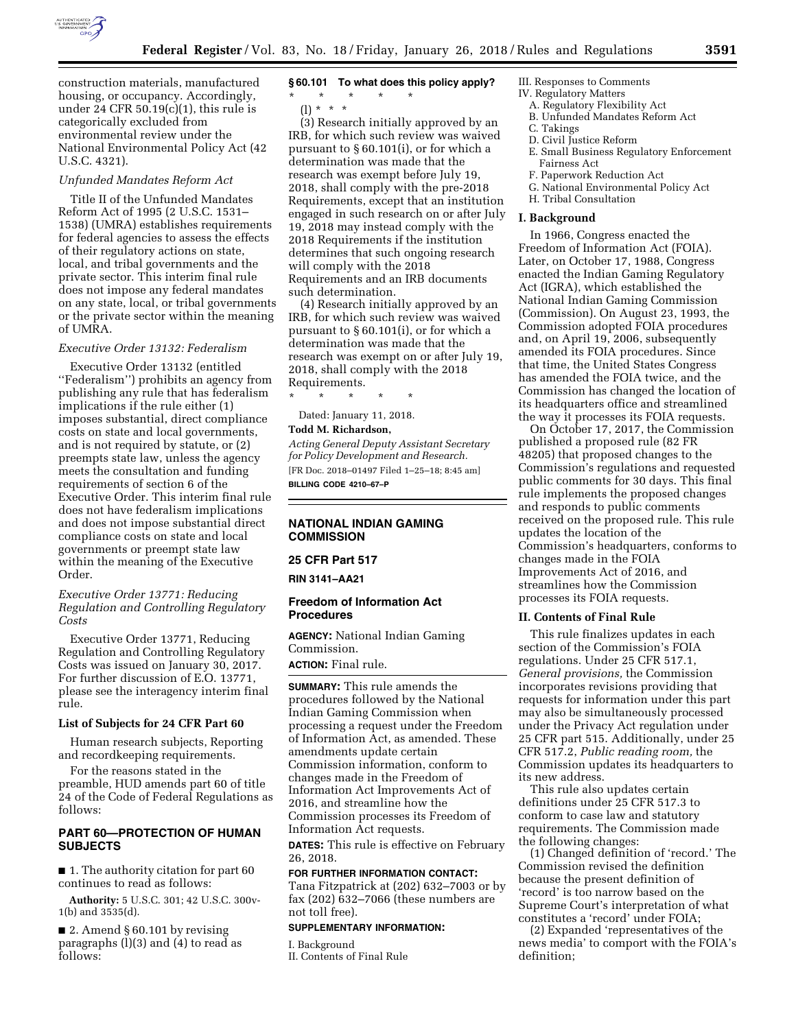

construction materials, manufactured housing, or occupancy. Accordingly, under 24 CFR  $50.19(c)(1)$ , this rule is categorically excluded from environmental review under the National Environmental Policy Act (42 U.S.C. 4321).

#### *Unfunded Mandates Reform Act*

Title II of the Unfunded Mandates Reform Act of 1995 (2 U.S.C. 1531– 1538) (UMRA) establishes requirements for federal agencies to assess the effects of their regulatory actions on state, local, and tribal governments and the private sector. This interim final rule does not impose any federal mandates on any state, local, or tribal governments or the private sector within the meaning of UMRA.

#### *Executive Order 13132: Federalism*

Executive Order 13132 (entitled ''Federalism'') prohibits an agency from publishing any rule that has federalism implications if the rule either (1) imposes substantial, direct compliance costs on state and local governments, and is not required by statute, or (2) preempts state law, unless the agency meets the consultation and funding requirements of section 6 of the Executive Order. This interim final rule does not have federalism implications and does not impose substantial direct compliance costs on state and local governments or preempt state law within the meaning of the Executive Order.

# *Executive Order 13771: Reducing Regulation and Controlling Regulatory Costs*

Executive Order 13771, Reducing Regulation and Controlling Regulatory Costs was issued on January 30, 2017. For further discussion of E.O. 13771, please see the interagency interim final rule.

### **List of Subjects for 24 CFR Part 60**

Human research subjects, Reporting and recordkeeping requirements.

For the reasons stated in the preamble, HUD amends part 60 of title 24 of the Code of Federal Regulations as follows:

# **PART 60—PROTECTION OF HUMAN SUBJECTS**

■ 1. The authority citation for part 60 continues to read as follows:

**Authority:** 5 U.S.C. 301; 42 U.S.C. 300v-1(b) and 3535(d).

■ 2. Amend § 60.101 by revising paragraphs (l)(3) and (4) to read as follows:

# **§ 60.101 To what does this policy apply?**

- \* \* \* \* \*
	- $(l) * * * *$

(3) Research initially approved by an IRB, for which such review was waived pursuant to § 60.101(i), or for which a determination was made that the research was exempt before July 19, 2018, shall comply with the pre-2018 Requirements, except that an institution engaged in such research on or after July 19, 2018 may instead comply with the 2018 Requirements if the institution determines that such ongoing research will comply with the 2018 Requirements and an IRB documents such determination.

(4) Research initially approved by an IRB, for which such review was waived pursuant to § 60.101(i), or for which a determination was made that the research was exempt on or after July 19, 2018, shall comply with the 2018 Requirements.

\* \* \* \* \*

Dated: January 11, 2018.

#### **Todd M. Richardson,**

*Acting General Deputy Assistant Secretary for Policy Development and Research.*  [FR Doc. 2018–01497 Filed 1–25–18; 8:45 am] **BILLING CODE 4210–67–P** 

# **NATIONAL INDIAN GAMING COMMISSION**

## **25 CFR Part 517**

**RIN 3141–AA21** 

### **Freedom of Information Act Procedures**

**AGENCY:** National Indian Gaming Commission.

**ACTION:** Final rule.

**SUMMARY:** This rule amends the procedures followed by the National Indian Gaming Commission when processing a request under the Freedom of Information Act, as amended. These amendments update certain Commission information, conform to changes made in the Freedom of Information Act Improvements Act of 2016, and streamline how the Commission processes its Freedom of Information Act requests.

**DATES:** This rule is effective on February 26, 2018.

#### **FOR FURTHER INFORMATION CONTACT:**

Tana Fitzpatrick at (202) 632–7003 or by fax (202) 632–7066 (these numbers are not toll free).

#### **SUPPLEMENTARY INFORMATION:**

I. Background

II. Contents of Final Rule

# III. Responses to Comments

- IV. Regulatory Matters
	- A. Regulatory Flexibility Act
	- B. Unfunded Mandates Reform Act
	- C. Takings
	- D. Civil Justice Reform
	- E. Small Business Regulatory Enforcement Fairness Act
	- F. Paperwork Reduction Act
	- G. National Environmental Policy Act
	- H. Tribal Consultation

#### **I. Background**

In 1966, Congress enacted the Freedom of Information Act (FOIA). Later, on October 17, 1988, Congress enacted the Indian Gaming Regulatory Act (IGRA), which established the National Indian Gaming Commission (Commission). On August 23, 1993, the Commission adopted FOIA procedures and, on April 19, 2006, subsequently amended its FOIA procedures. Since that time, the United States Congress has amended the FOIA twice, and the Commission has changed the location of its headquarters office and streamlined the way it processes its FOIA requests.

On October 17, 2017, the Commission published a proposed rule (82 FR 48205) that proposed changes to the Commission's regulations and requested public comments for 30 days. This final rule implements the proposed changes and responds to public comments received on the proposed rule. This rule updates the location of the Commission's headquarters, conforms to changes made in the FOIA Improvements Act of 2016, and streamlines how the Commission processes its FOIA requests.

#### **II. Contents of Final Rule**

This rule finalizes updates in each section of the Commission's FOIA regulations. Under 25 CFR 517.1, *General provisions,* the Commission incorporates revisions providing that requests for information under this part may also be simultaneously processed under the Privacy Act regulation under 25 CFR part 515. Additionally, under 25 CFR 517.2, *Public reading room,* the Commission updates its headquarters to its new address.

This rule also updates certain definitions under 25 CFR 517.3 to conform to case law and statutory requirements. The Commission made the following changes:

(1) Changed definition of 'record.' The Commission revised the definition because the present definition of 'record' is too narrow based on the Supreme Court's interpretation of what constitutes a 'record' under FOIA;

(2) Expanded 'representatives of the news media' to comport with the FOIA's definition;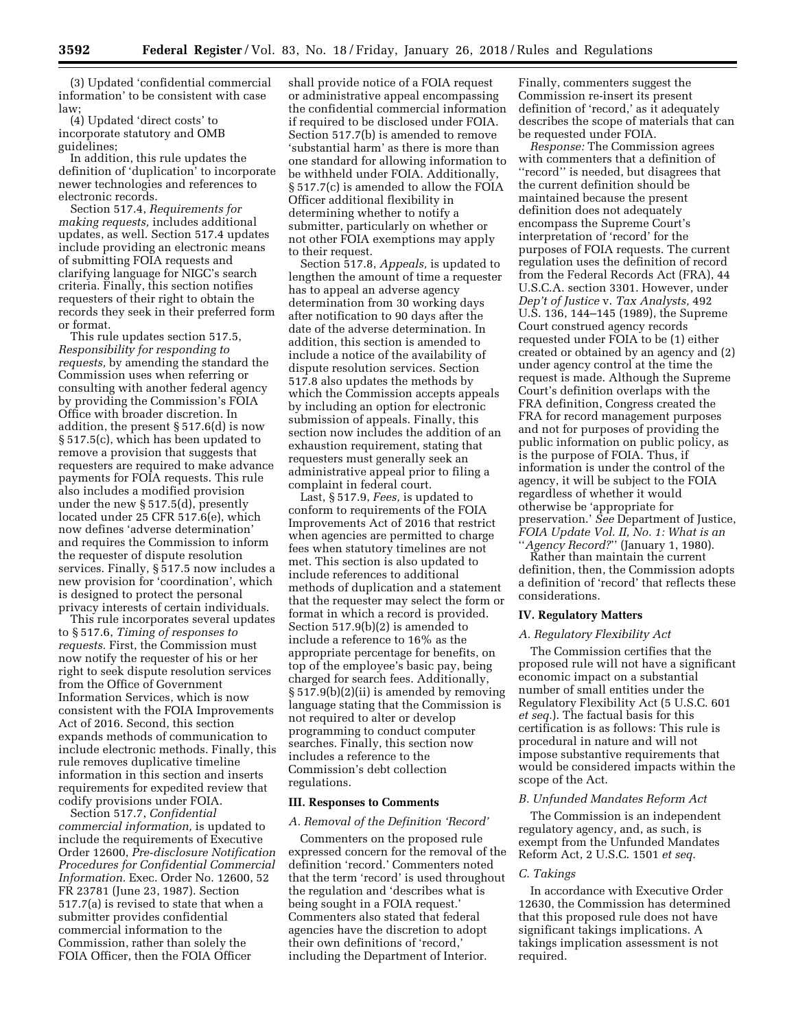(3) Updated 'confidential commercial information' to be consistent with case law;

(4) Updated 'direct costs' to incorporate statutory and OMB guidelines;

In addition, this rule updates the definition of 'duplication' to incorporate newer technologies and references to electronic records.

Section 517.4, *Requirements for making requests,* includes additional updates, as well. Section 517.4 updates include providing an electronic means of submitting FOIA requests and clarifying language for NIGC's search criteria. Finally, this section notifies requesters of their right to obtain the records they seek in their preferred form or format.

This rule updates section 517.5, *Responsibility for responding to requests,* by amending the standard the Commission uses when referring or consulting with another federal agency by providing the Commission's FOIA Office with broader discretion. In addition, the present § 517.6(d) is now § 517.5(c), which has been updated to remove a provision that suggests that requesters are required to make advance payments for FOIA requests. This rule also includes a modified provision under the new § 517.5(d), presently located under 25 CFR 517.6(e), which now defines 'adverse determination' and requires the Commission to inform the requester of dispute resolution services. Finally, § 517.5 now includes a new provision for 'coordination', which is designed to protect the personal privacy interests of certain individuals.

This rule incorporates several updates to § 517.6, *Timing of responses to requests.* First, the Commission must now notify the requester of his or her right to seek dispute resolution services from the Office of Government Information Services, which is now consistent with the FOIA Improvements Act of 2016. Second, this section expands methods of communication to include electronic methods. Finally, this rule removes duplicative timeline information in this section and inserts requirements for expedited review that codify provisions under FOIA.

Section 517.7, *Confidential commercial information,* is updated to include the requirements of Executive Order 12600, *Pre-disclosure Notification Procedures for Confidential Commercial Information.* Exec. Order No. 12600, 52 FR 23781 (June 23, 1987). Section 517.7(a) is revised to state that when a submitter provides confidential commercial information to the Commission, rather than solely the FOIA Officer, then the FOIA Officer

shall provide notice of a FOIA request or administrative appeal encompassing the confidential commercial information if required to be disclosed under FOIA. Section 517.7(b) is amended to remove 'substantial harm' as there is more than one standard for allowing information to be withheld under FOIA. Additionally, § 517.7(c) is amended to allow the FOIA Officer additional flexibility in determining whether to notify a submitter, particularly on whether or not other FOIA exemptions may apply to their request.

Section 517.8, *Appeals,* is updated to lengthen the amount of time a requester has to appeal an adverse agency determination from 30 working days after notification to 90 days after the date of the adverse determination. In addition, this section is amended to include a notice of the availability of dispute resolution services. Section 517.8 also updates the methods by which the Commission accepts appeals by including an option for electronic submission of appeals. Finally, this section now includes the addition of an exhaustion requirement, stating that requesters must generally seek an administrative appeal prior to filing a complaint in federal court.

Last, § 517.9, *Fees,* is updated to conform to requirements of the FOIA Improvements Act of 2016 that restrict when agencies are permitted to charge fees when statutory timelines are not met. This section is also updated to include references to additional methods of duplication and a statement that the requester may select the form or format in which a record is provided. Section 517.9(b)(2) is amended to include a reference to 16% as the appropriate percentage for benefits, on top of the employee's basic pay, being charged for search fees. Additionally, § 517.9(b)(2)(ii) is amended by removing language stating that the Commission is not required to alter or develop programming to conduct computer searches. Finally, this section now includes a reference to the Commission's debt collection regulations.

## **III. Responses to Comments**

#### *A. Removal of the Definition 'Record'*

Commenters on the proposed rule expressed concern for the removal of the definition 'record.' Commenters noted that the term 'record' is used throughout the regulation and 'describes what is being sought in a FOIA request.' Commenters also stated that federal agencies have the discretion to adopt their own definitions of 'record,' including the Department of Interior.

Finally, commenters suggest the Commission re-insert its present definition of 'record,' as it adequately describes the scope of materials that can be requested under FOIA.

*Response:* The Commission agrees with commenters that a definition of ''record'' is needed, but disagrees that the current definition should be maintained because the present definition does not adequately encompass the Supreme Court's interpretation of 'record' for the purposes of FOIA requests. The current regulation uses the definition of record from the Federal Records Act (FRA), 44 U.S.C.A. section 3301. However, under *Dep't of Justice* v. *Tax Analysts,* 492 U.S. 136, 144–145 (1989), the Supreme Court construed agency records requested under FOIA to be (1) either created or obtained by an agency and (2) under agency control at the time the request is made. Although the Supreme Court's definition overlaps with the FRA definition, Congress created the FRA for record management purposes and not for purposes of providing the public information on public policy, as is the purpose of FOIA. Thus, if information is under the control of the agency, it will be subject to the FOIA regardless of whether it would otherwise be 'appropriate for preservation.' *See* Department of Justice, *FOIA Update Vol. II, No. 1: What is an*  ''*Agency Record?*'' (January 1, 1980).

Rather than maintain the current definition, then, the Commission adopts a definition of 'record' that reflects these considerations.

### **IV. Regulatory Matters**

#### *A. Regulatory Flexibility Act*

The Commission certifies that the proposed rule will not have a significant economic impact on a substantial number of small entities under the Regulatory Flexibility Act (5 U.S.C. 601 *et seq.*). The factual basis for this certification is as follows: This rule is procedural in nature and will not impose substantive requirements that would be considered impacts within the scope of the Act.

#### *B. Unfunded Mandates Reform Act*

The Commission is an independent regulatory agency, and, as such, is exempt from the Unfunded Mandates Reform Act, 2 U.S.C. 1501 *et seq.* 

#### *C. Takings*

In accordance with Executive Order 12630, the Commission has determined that this proposed rule does not have significant takings implications. A takings implication assessment is not required.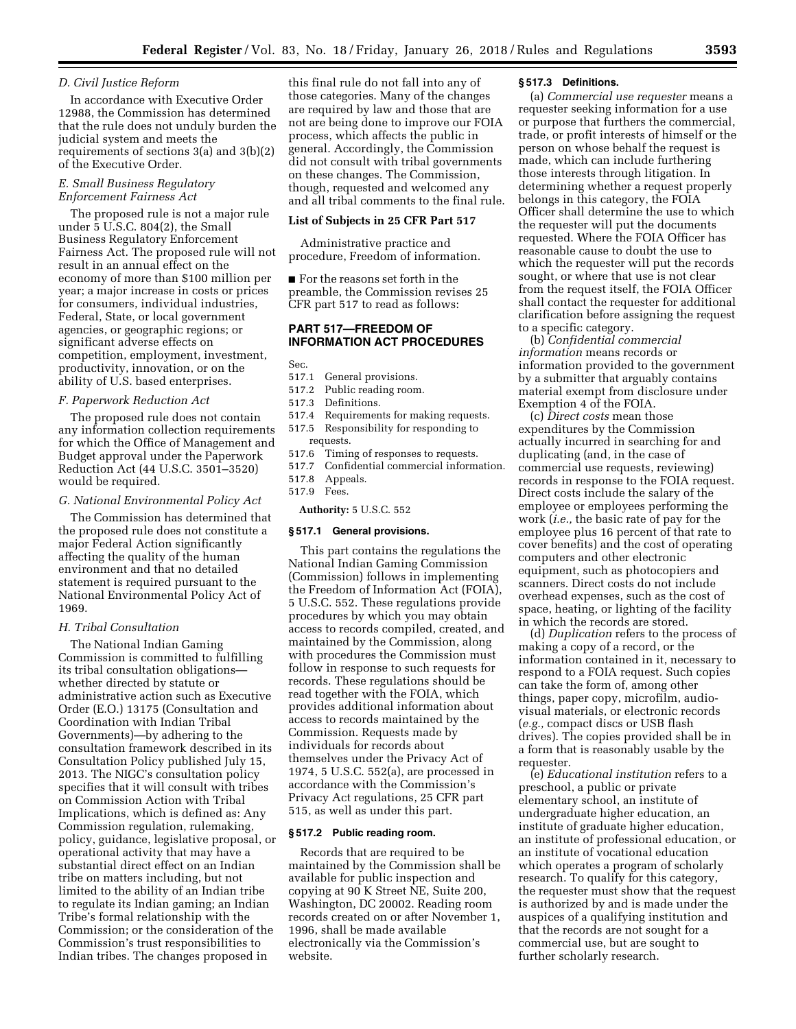# *D. Civil Justice Reform*

In accordance with Executive Order 12988, the Commission has determined that the rule does not unduly burden the judicial system and meets the requirements of sections 3(a) and 3(b)(2) of the Executive Order.

# *E. Small Business Regulatory Enforcement Fairness Act*

The proposed rule is not a major rule under 5 U.S.C. 804(2), the Small Business Regulatory Enforcement Fairness Act. The proposed rule will not result in an annual effect on the economy of more than \$100 million per year; a major increase in costs or prices for consumers, individual industries, Federal, State, or local government agencies, or geographic regions; or significant adverse effects on competition, employment, investment, productivity, innovation, or on the ability of U.S. based enterprises.

### *F. Paperwork Reduction Act*

The proposed rule does not contain any information collection requirements for which the Office of Management and Budget approval under the Paperwork Reduction Act (44 U.S.C. 3501–3520) would be required.

# *G. National Environmental Policy Act*

The Commission has determined that the proposed rule does not constitute a major Federal Action significantly affecting the quality of the human environment and that no detailed statement is required pursuant to the National Environmental Policy Act of 1969.

# *H. Tribal Consultation*

The National Indian Gaming Commission is committed to fulfilling its tribal consultation obligations whether directed by statute or administrative action such as Executive Order (E.O.) 13175 (Consultation and Coordination with Indian Tribal Governments)—by adhering to the consultation framework described in its Consultation Policy published July 15, 2013. The NIGC's consultation policy specifies that it will consult with tribes on Commission Action with Tribal Implications, which is defined as: Any Commission regulation, rulemaking, policy, guidance, legislative proposal, or operational activity that may have a substantial direct effect on an Indian tribe on matters including, but not limited to the ability of an Indian tribe to regulate its Indian gaming; an Indian Tribe's formal relationship with the Commission; or the consideration of the Commission's trust responsibilities to Indian tribes. The changes proposed in

this final rule do not fall into any of those categories. Many of the changes are required by law and those that are not are being done to improve our FOIA process, which affects the public in general. Accordingly, the Commission did not consult with tribal governments on these changes. The Commission, though, requested and welcomed any and all tribal comments to the final rule.

#### **List of Subjects in 25 CFR Part 517**

Administrative practice and procedure, Freedom of information.

■ For the reasons set forth in the preamble, the Commission revises 25 CFR part 517 to read as follows:

# **PART 517—FREEDOM OF INFORMATION ACT PROCEDURES**

Sec.

- 517.1 General provisions.
- 517.2 Public reading room.
- 517.3 Definitions.
- 517.4 Requirements for making requests.
- 517.5 Responsibility for responding to requests.
- 517.6 Timing of responses to requests.
- 517.7 Confidential commercial information.
- 517.8 Appeals.
- 517.9 Fees.

#### **Authority:** 5 U.S.C. 552

# **§ 517.1 General provisions.**

This part contains the regulations the National Indian Gaming Commission (Commission) follows in implementing the Freedom of Information Act (FOIA), 5 U.S.C. 552. These regulations provide procedures by which you may obtain access to records compiled, created, and maintained by the Commission, along with procedures the Commission must follow in response to such requests for records. These regulations should be read together with the FOIA, which provides additional information about access to records maintained by the Commission. Requests made by individuals for records about themselves under the Privacy Act of 1974, 5 U.S.C. 552(a), are processed in accordance with the Commission's Privacy Act regulations, 25 CFR part 515, as well as under this part.

#### **§ 517.2 Public reading room.**

Records that are required to be maintained by the Commission shall be available for public inspection and copying at 90 K Street NE, Suite 200, Washington, DC 20002. Reading room records created on or after November 1, 1996, shall be made available electronically via the Commission's website.

#### **§ 517.3 Definitions.**

(a) *Commercial use requester* means a requester seeking information for a use or purpose that furthers the commercial, trade, or profit interests of himself or the person on whose behalf the request is made, which can include furthering those interests through litigation. In determining whether a request properly belongs in this category, the FOIA Officer shall determine the use to which the requester will put the documents requested. Where the FOIA Officer has reasonable cause to doubt the use to which the requester will put the records sought, or where that use is not clear from the request itself, the FOIA Officer shall contact the requester for additional clarification before assigning the request to a specific category.

(b) *Confidential commercial information* means records or information provided to the government by a submitter that arguably contains material exempt from disclosure under Exemption 4 of the FOIA.

(c) *Direct costs* mean those expenditures by the Commission actually incurred in searching for and duplicating (and, in the case of commercial use requests, reviewing) records in response to the FOIA request. Direct costs include the salary of the employee or employees performing the work (*i.e.,* the basic rate of pay for the employee plus 16 percent of that rate to cover benefits) and the cost of operating computers and other electronic equipment, such as photocopiers and scanners. Direct costs do not include overhead expenses, such as the cost of space, heating, or lighting of the facility in which the records are stored.

(d) *Duplication* refers to the process of making a copy of a record, or the information contained in it, necessary to respond to a FOIA request. Such copies can take the form of, among other things, paper copy, microfilm, audiovisual materials, or electronic records (*e.g.,* compact discs or USB flash drives). The copies provided shall be in a form that is reasonably usable by the requester.

(e) *Educational institution* refers to a preschool, a public or private elementary school, an institute of undergraduate higher education, an institute of graduate higher education, an institute of professional education, or an institute of vocational education which operates a program of scholarly research. To qualify for this category, the requester must show that the request is authorized by and is made under the auspices of a qualifying institution and that the records are not sought for a commercial use, but are sought to further scholarly research.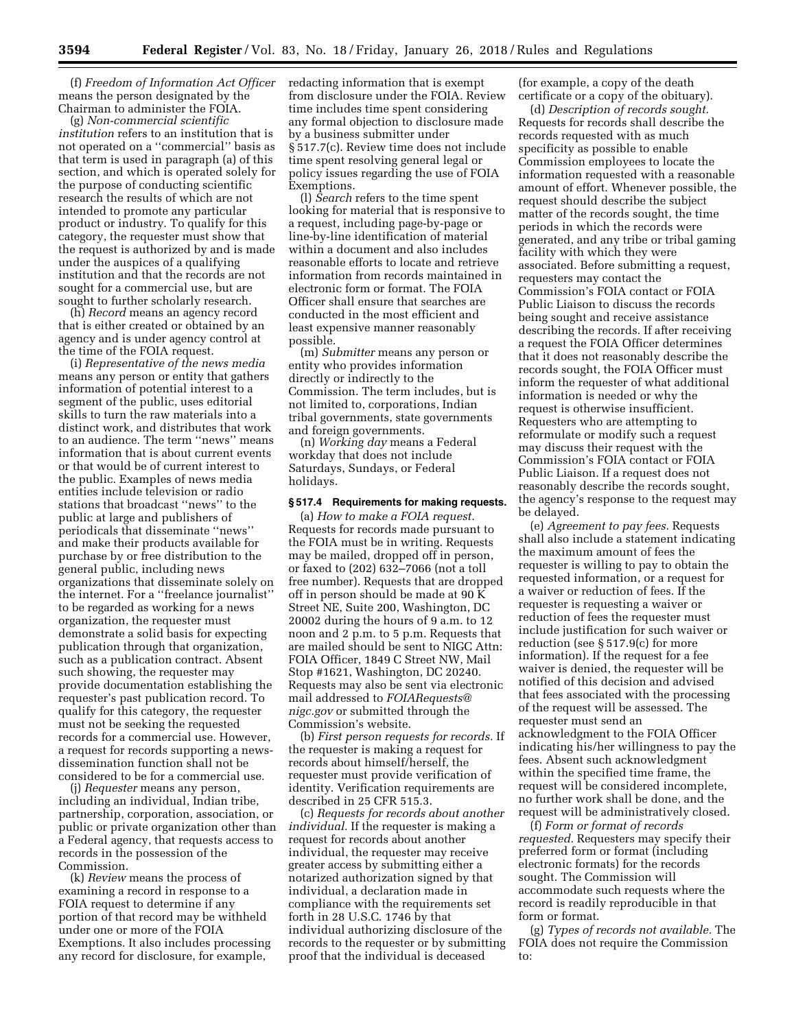(f) *Freedom of Information Act Officer*  means the person designated by the Chairman to administer the FOIA.

(g) *Non-commercial scientific institution* refers to an institution that is not operated on a ''commercial'' basis as that term is used in paragraph (a) of this section, and which is operated solely for the purpose of conducting scientific research the results of which are not intended to promote any particular product or industry. To qualify for this category, the requester must show that the request is authorized by and is made under the auspices of a qualifying institution and that the records are not sought for a commercial use, but are sought to further scholarly research.

(h) *Record* means an agency record that is either created or obtained by an agency and is under agency control at the time of the FOIA request.

(i) *Representative of the news media*  means any person or entity that gathers information of potential interest to a segment of the public, uses editorial skills to turn the raw materials into a distinct work, and distributes that work to an audience. The term ''news'' means information that is about current events or that would be of current interest to the public. Examples of news media entities include television or radio stations that broadcast ''news'' to the public at large and publishers of periodicals that disseminate ''news'' and make their products available for purchase by or free distribution to the general public, including news organizations that disseminate solely on the internet. For a ''freelance journalist'' to be regarded as working for a news organization, the requester must demonstrate a solid basis for expecting publication through that organization, such as a publication contract. Absent such showing, the requester may provide documentation establishing the requester's past publication record. To qualify for this category, the requester must not be seeking the requested records for a commercial use. However, a request for records supporting a newsdissemination function shall not be considered to be for a commercial use.

(j) *Requester* means any person, including an individual, Indian tribe, partnership, corporation, association, or public or private organization other than a Federal agency, that requests access to records in the possession of the Commission.

(k) *Review* means the process of examining a record in response to a FOIA request to determine if any portion of that record may be withheld under one or more of the FOIA Exemptions. It also includes processing any record for disclosure, for example,

redacting information that is exempt from disclosure under the FOIA. Review time includes time spent considering any formal objection to disclosure made by a business submitter under § 517.7(c). Review time does not include time spent resolving general legal or policy issues regarding the use of FOIA Exemptions.

(l) *Search* refers to the time spent looking for material that is responsive to a request, including page-by-page or line-by-line identification of material within a document and also includes reasonable efforts to locate and retrieve information from records maintained in electronic form or format. The FOIA Officer shall ensure that searches are conducted in the most efficient and least expensive manner reasonably possible.

(m) *Submitter* means any person or entity who provides information directly or indirectly to the Commission. The term includes, but is not limited to, corporations, Indian tribal governments, state governments and foreign governments.

(n) *Working day* means a Federal workday that does not include Saturdays, Sundays, or Federal holidays.

#### **§ 517.4 Requirements for making requests.**

(a) *How to make a FOIA request.*  Requests for records made pursuant to the FOIA must be in writing. Requests may be mailed, dropped off in person, or faxed to (202) 632–7066 (not a toll free number). Requests that are dropped off in person should be made at 90 K Street NE, Suite 200, Washington, DC 20002 during the hours of 9 a.m. to 12 noon and 2 p.m. to 5 p.m. Requests that are mailed should be sent to NIGC Attn: FOIA Officer, 1849 C Street NW, Mail Stop #1621, Washington, DC 20240. Requests may also be sent via electronic mail addressed to *[FOIARequests@](mailto:FOIARequests@nigc.gov) [nigc.gov](mailto:FOIARequests@nigc.gov)* or submitted through the Commission's website.

(b) *First person requests for records.* If the requester is making a request for records about himself/herself, the requester must provide verification of identity. Verification requirements are described in 25 CFR 515.3.

(c) *Requests for records about another individual.* If the requester is making a request for records about another individual, the requester may receive greater access by submitting either a notarized authorization signed by that individual, a declaration made in compliance with the requirements set forth in 28 U.S.C. 1746 by that individual authorizing disclosure of the records to the requester or by submitting proof that the individual is deceased

(for example, a copy of the death certificate or a copy of the obituary).

(d) *Description of records sought.*  Requests for records shall describe the records requested with as much specificity as possible to enable Commission employees to locate the information requested with a reasonable amount of effort. Whenever possible, the request should describe the subject matter of the records sought, the time periods in which the records were generated, and any tribe or tribal gaming facility with which they were associated. Before submitting a request, requesters may contact the Commission's FOIA contact or FOIA Public Liaison to discuss the records being sought and receive assistance describing the records. If after receiving a request the FOIA Officer determines that it does not reasonably describe the records sought, the FOIA Officer must inform the requester of what additional information is needed or why the request is otherwise insufficient. Requesters who are attempting to reformulate or modify such a request may discuss their request with the Commission's FOIA contact or FOIA Public Liaison. If a request does not reasonably describe the records sought, the agency's response to the request may be delayed.

(e) *Agreement to pay fees.* Requests shall also include a statement indicating the maximum amount of fees the requester is willing to pay to obtain the requested information, or a request for a waiver or reduction of fees. If the requester is requesting a waiver or reduction of fees the requester must include justification for such waiver or reduction (see § 517.9(c) for more information). If the request for a fee waiver is denied, the requester will be notified of this decision and advised that fees associated with the processing of the request will be assessed. The requester must send an acknowledgment to the FOIA Officer indicating his/her willingness to pay the fees. Absent such acknowledgment within the specified time frame, the request will be considered incomplete, no further work shall be done, and the request will be administratively closed.

(f) *Form or format of records requested.* Requesters may specify their preferred form or format (including electronic formats) for the records sought. The Commission will accommodate such requests where the record is readily reproducible in that form or format.

(g) *Types of records not available.* The FOIA does not require the Commission to: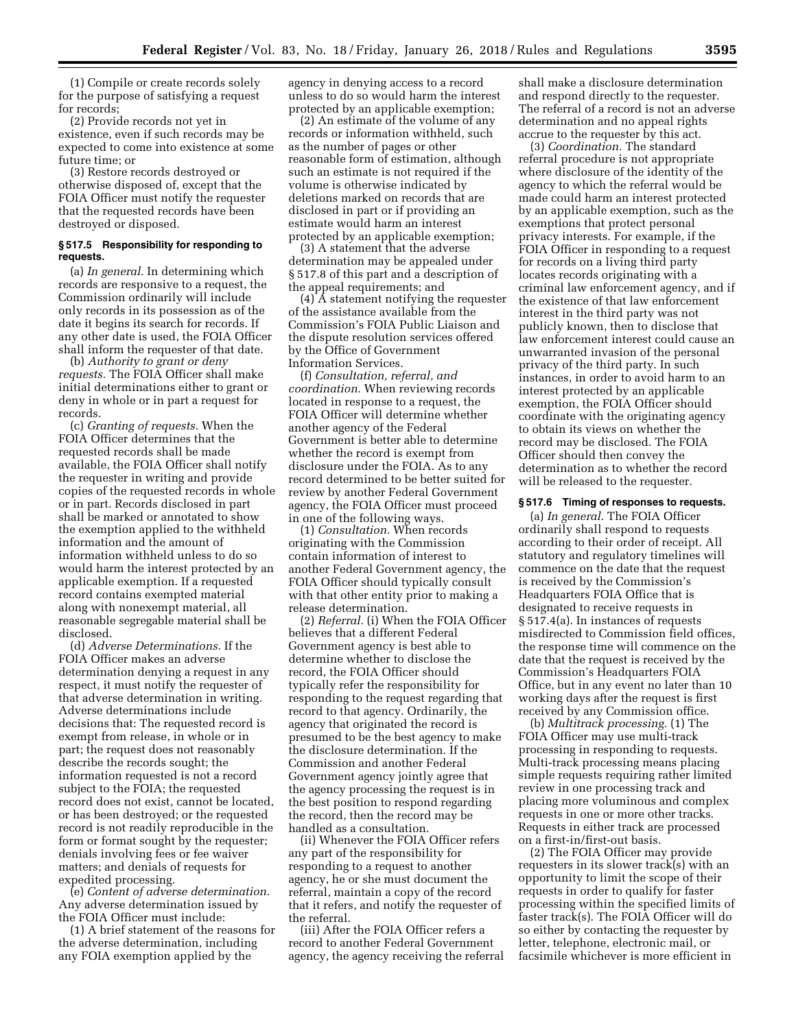(1) Compile or create records solely for the purpose of satisfying a request for records;

(2) Provide records not yet in existence, even if such records may be expected to come into existence at some future time; or

(3) Restore records destroyed or otherwise disposed of, except that the FOIA Officer must notify the requester that the requested records have been destroyed or disposed.

# **§ 517.5 Responsibility for responding to requests.**

(a) *In general.* In determining which records are responsive to a request, the Commission ordinarily will include only records in its possession as of the date it begins its search for records. If any other date is used, the FOIA Officer shall inform the requester of that date.

(b) *Authority to grant or deny requests.* The FOIA Officer shall make initial determinations either to grant or deny in whole or in part a request for records.

(c) *Granting of requests.* When the FOIA Officer determines that the requested records shall be made available, the FOIA Officer shall notify the requester in writing and provide copies of the requested records in whole or in part. Records disclosed in part shall be marked or annotated to show the exemption applied to the withheld information and the amount of information withheld unless to do so would harm the interest protected by an applicable exemption. If a requested record contains exempted material along with nonexempt material, all reasonable segregable material shall be disclosed.

(d) *Adverse Determinations.* If the FOIA Officer makes an adverse determination denying a request in any respect, it must notify the requester of that adverse determination in writing. Adverse determinations include decisions that: The requested record is exempt from release, in whole or in part; the request does not reasonably describe the records sought; the information requested is not a record subject to the FOIA; the requested record does not exist, cannot be located, or has been destroyed; or the requested record is not readily reproducible in the form or format sought by the requester; denials involving fees or fee waiver matters; and denials of requests for expedited processing.

(e) *Content of adverse determination.*  Any adverse determination issued by the FOIA Officer must include:

(1) A brief statement of the reasons for the adverse determination, including any FOIA exemption applied by the

agency in denying access to a record unless to do so would harm the interest protected by an applicable exemption;

(2) An estimate of the volume of any records or information withheld, such as the number of pages or other reasonable form of estimation, although such an estimate is not required if the volume is otherwise indicated by deletions marked on records that are disclosed in part or if providing an estimate would harm an interest protected by an applicable exemption;

(3) A statement that the adverse determination may be appealed under § 517.8 of this part and a description of the appeal requirements; and

 $(4)$   $\overline{A}$  statement notifying the requester of the assistance available from the Commission's FOIA Public Liaison and the dispute resolution services offered by the Office of Government Information Services.

(f) *Consultation, referral, and coordination.* When reviewing records located in response to a request, the FOIA Officer will determine whether another agency of the Federal Government is better able to determine whether the record is exempt from disclosure under the FOIA. As to any record determined to be better suited for review by another Federal Government agency, the FOIA Officer must proceed in one of the following ways.

(1) *Consultation.* When records originating with the Commission contain information of interest to another Federal Government agency, the FOIA Officer should typically consult with that other entity prior to making a release determination.

(2) *Referral.* (i) When the FOIA Officer believes that a different Federal Government agency is best able to determine whether to disclose the record, the FOIA Officer should typically refer the responsibility for responding to the request regarding that record to that agency. Ordinarily, the agency that originated the record is presumed to be the best agency to make the disclosure determination. If the Commission and another Federal Government agency jointly agree that the agency processing the request is in the best position to respond regarding the record, then the record may be handled as a consultation.

(ii) Whenever the FOIA Officer refers any part of the responsibility for responding to a request to another agency, he or she must document the referral, maintain a copy of the record that it refers, and notify the requester of the referral.

(iii) After the FOIA Officer refers a record to another Federal Government agency, the agency receiving the referral

shall make a disclosure determination and respond directly to the requester. The referral of a record is not an adverse determination and no appeal rights accrue to the requester by this act.

(3) *Coordination.* The standard referral procedure is not appropriate where disclosure of the identity of the agency to which the referral would be made could harm an interest protected by an applicable exemption, such as the exemptions that protect personal privacy interests. For example, if the FOIA Officer in responding to a request for records on a living third party locates records originating with a criminal law enforcement agency, and if the existence of that law enforcement interest in the third party was not publicly known, then to disclose that law enforcement interest could cause an unwarranted invasion of the personal privacy of the third party. In such instances, in order to avoid harm to an interest protected by an applicable exemption, the FOIA Officer should coordinate with the originating agency to obtain its views on whether the record may be disclosed. The FOIA Officer should then convey the determination as to whether the record will be released to the requester.

#### **§ 517.6 Timing of responses to requests.**

(a) *In general.* The FOIA Officer ordinarily shall respond to requests according to their order of receipt. All statutory and regulatory timelines will commence on the date that the request is received by the Commission's Headquarters FOIA Office that is designated to receive requests in § 517.4(a). In instances of requests misdirected to Commission field offices, the response time will commence on the date that the request is received by the Commission's Headquarters FOIA Office, but in any event no later than 10 working days after the request is first received by any Commission office.

(b) *Multitrack processing.* (1) The FOIA Officer may use multi-track processing in responding to requests. Multi-track processing means placing simple requests requiring rather limited review in one processing track and placing more voluminous and complex requests in one or more other tracks. Requests in either track are processed on a first-in/first-out basis.

(2) The FOIA Officer may provide requesters in its slower track(s) with an opportunity to limit the scope of their requests in order to qualify for faster processing within the specified limits of faster track(s). The FOIA Officer will do so either by contacting the requester by letter, telephone, electronic mail, or facsimile whichever is more efficient in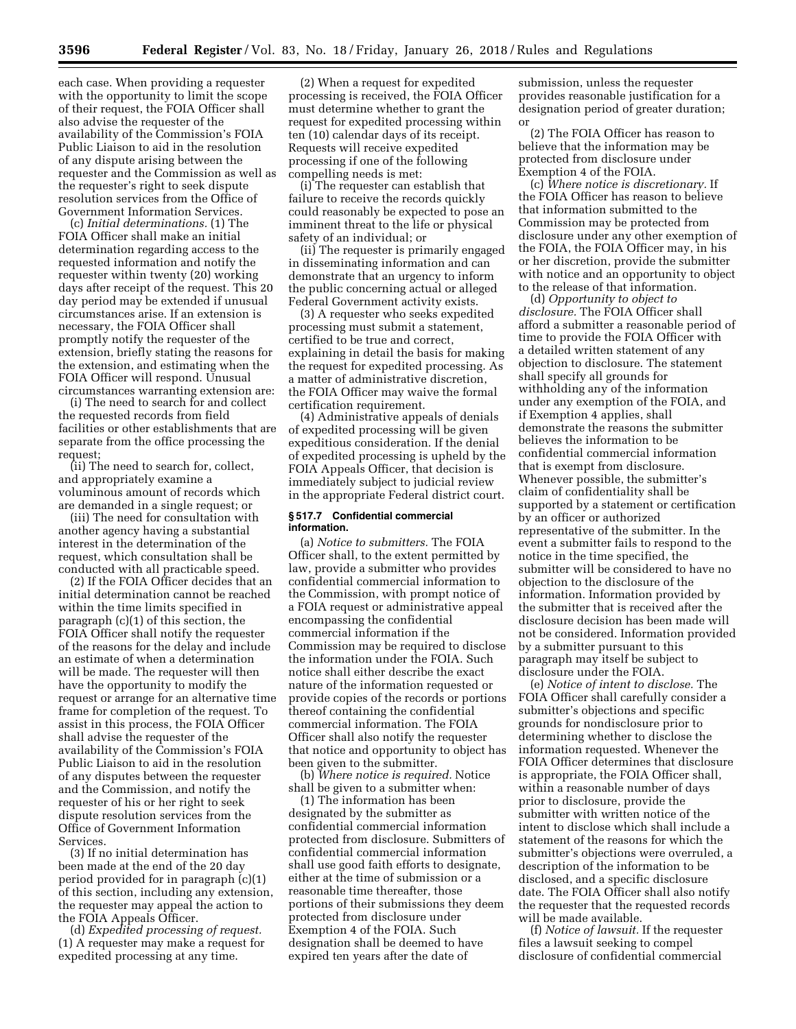each case. When providing a requester with the opportunity to limit the scope of their request, the FOIA Officer shall also advise the requester of the availability of the Commission's FOIA Public Liaison to aid in the resolution of any dispute arising between the requester and the Commission as well as the requester's right to seek dispute resolution services from the Office of Government Information Services.

(c) *Initial determinations.* (1) The FOIA Officer shall make an initial determination regarding access to the requested information and notify the requester within twenty (20) working days after receipt of the request. This 20 day period may be extended if unusual circumstances arise. If an extension is necessary, the FOIA Officer shall promptly notify the requester of the extension, briefly stating the reasons for the extension, and estimating when the FOIA Officer will respond. Unusual circumstances warranting extension are:

(i) The need to search for and collect the requested records from field facilities or other establishments that are separate from the office processing the request;

(ii) The need to search for, collect, and appropriately examine a voluminous amount of records which are demanded in a single request; or

(iii) The need for consultation with another agency having a substantial interest in the determination of the request, which consultation shall be conducted with all practicable speed.

(2) If the FOIA Officer decides that an initial determination cannot be reached within the time limits specified in paragraph (c)(1) of this section, the FOIA Officer shall notify the requester of the reasons for the delay and include an estimate of when a determination will be made. The requester will then have the opportunity to modify the request or arrange for an alternative time frame for completion of the request. To assist in this process, the FOIA Officer shall advise the requester of the availability of the Commission's FOIA Public Liaison to aid in the resolution of any disputes between the requester and the Commission, and notify the requester of his or her right to seek dispute resolution services from the Office of Government Information **Services** 

(3) If no initial determination has been made at the end of the 20 day period provided for in paragraph (c)(1) of this section, including any extension, the requester may appeal the action to the FOIA Appeals Officer.

(d) *Expedited processing of request.*  (1) A requester may make a request for expedited processing at any time.

(2) When a request for expedited processing is received, the FOIA Officer must determine whether to grant the request for expedited processing within ten (10) calendar days of its receipt. Requests will receive expedited processing if one of the following compelling needs is met:

(i) The requester can establish that failure to receive the records quickly could reasonably be expected to pose an imminent threat to the life or physical safety of an individual; or

(ii) The requester is primarily engaged in disseminating information and can demonstrate that an urgency to inform the public concerning actual or alleged Federal Government activity exists.

(3) A requester who seeks expedited processing must submit a statement, certified to be true and correct, explaining in detail the basis for making the request for expedited processing. As a matter of administrative discretion, the FOIA Officer may waive the formal certification requirement.

(4) Administrative appeals of denials of expedited processing will be given expeditious consideration. If the denial of expedited processing is upheld by the FOIA Appeals Officer, that decision is immediately subject to judicial review in the appropriate Federal district court.

#### **§ 517.7 Confidential commercial information.**

(a) *Notice to submitters.* The FOIA Officer shall, to the extent permitted by law, provide a submitter who provides confidential commercial information to the Commission, with prompt notice of a FOIA request or administrative appeal encompassing the confidential commercial information if the Commission may be required to disclose the information under the FOIA. Such notice shall either describe the exact nature of the information requested or provide copies of the records or portions thereof containing the confidential commercial information. The FOIA Officer shall also notify the requester that notice and opportunity to object has been given to the submitter.

(b) *Where notice is required.* Notice shall be given to a submitter when:

(1) The information has been designated by the submitter as confidential commercial information protected from disclosure. Submitters of confidential commercial information shall use good faith efforts to designate, either at the time of submission or a reasonable time thereafter, those portions of their submissions they deem protected from disclosure under Exemption 4 of the FOIA. Such designation shall be deemed to have expired ten years after the date of

submission, unless the requester provides reasonable justification for a designation period of greater duration; or

(2) The FOIA Officer has reason to believe that the information may be protected from disclosure under Exemption 4 of the FOIA.

(c) *Where notice is discretionary.* If the FOIA Officer has reason to believe that information submitted to the Commission may be protected from disclosure under any other exemption of the FOIA, the FOIA Officer may, in his or her discretion, provide the submitter with notice and an opportunity to object to the release of that information.

(d) *Opportunity to object to disclosure.* The FOIA Officer shall afford a submitter a reasonable period of time to provide the FOIA Officer with a detailed written statement of any objection to disclosure. The statement shall specify all grounds for withholding any of the information under any exemption of the FOIA, and if Exemption 4 applies, shall demonstrate the reasons the submitter believes the information to be confidential commercial information that is exempt from disclosure. Whenever possible, the submitter's claim of confidentiality shall be supported by a statement or certification by an officer or authorized representative of the submitter. In the event a submitter fails to respond to the notice in the time specified, the submitter will be considered to have no objection to the disclosure of the information. Information provided by the submitter that is received after the disclosure decision has been made will not be considered. Information provided by a submitter pursuant to this paragraph may itself be subject to disclosure under the FOIA.

(e) *Notice of intent to disclose.* The FOIA Officer shall carefully consider a submitter's objections and specific grounds for nondisclosure prior to determining whether to disclose the information requested. Whenever the FOIA Officer determines that disclosure is appropriate, the FOIA Officer shall, within a reasonable number of days prior to disclosure, provide the submitter with written notice of the intent to disclose which shall include a statement of the reasons for which the submitter's objections were overruled, a description of the information to be disclosed, and a specific disclosure date. The FOIA Officer shall also notify the requester that the requested records will be made available.

(f) *Notice of lawsuit.* If the requester files a lawsuit seeking to compel disclosure of confidential commercial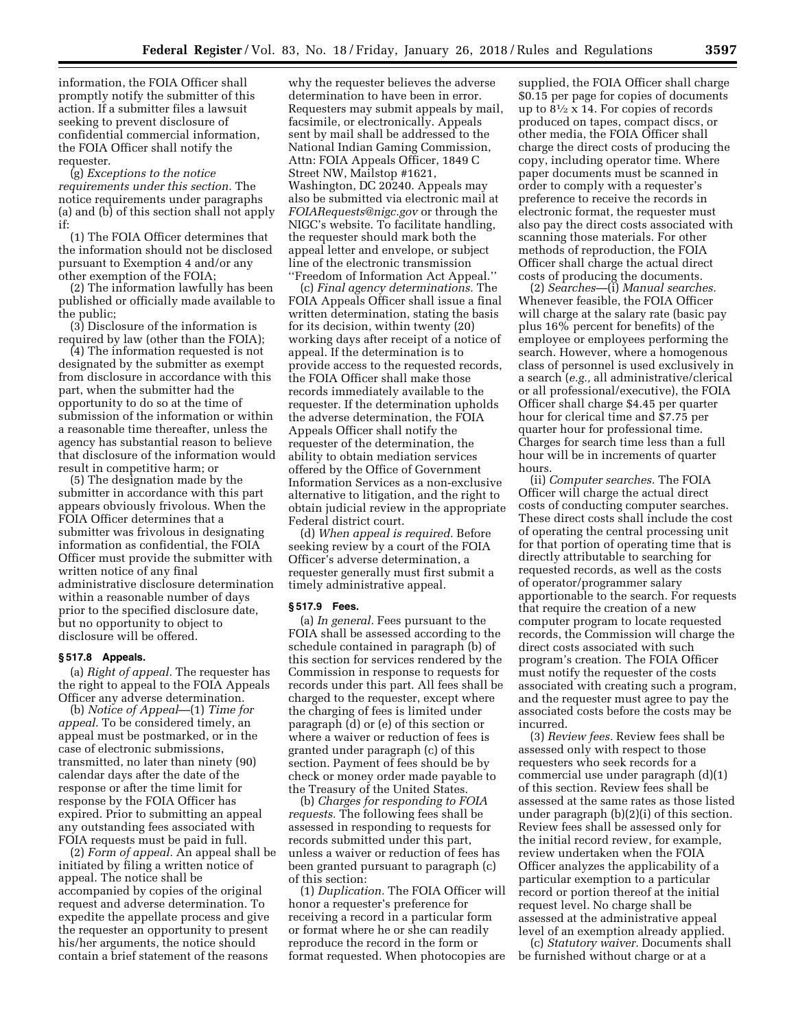information, the FOIA Officer shall promptly notify the submitter of this action. If a submitter files a lawsuit seeking to prevent disclosure of confidential commercial information, the FOIA Officer shall notify the requester.

(g) *Exceptions to the notice requirements under this section.* The notice requirements under paragraphs (a) and (b) of this section shall not apply if:

(1) The FOIA Officer determines that the information should not be disclosed pursuant to Exemption 4 and/or any other exemption of the FOIA;

(2) The information lawfully has been published or officially made available to the public;

(3) Disclosure of the information is required by law (other than the FOIA);

(4) The information requested is not designated by the submitter as exempt from disclosure in accordance with this part, when the submitter had the opportunity to do so at the time of submission of the information or within a reasonable time thereafter, unless the agency has substantial reason to believe that disclosure of the information would result in competitive harm; or

(5) The designation made by the submitter in accordance with this part appears obviously frivolous. When the FOIA Officer determines that a submitter was frivolous in designating information as confidential, the FOIA Officer must provide the submitter with written notice of any final administrative disclosure determination within a reasonable number of days prior to the specified disclosure date, but no opportunity to object to disclosure will be offered.

#### **§ 517.8 Appeals.**

(a) *Right of appeal.* The requester has the right to appeal to the FOIA Appeals Officer any adverse determination.

(b) *Notice of Appeal*—(1) *Time for appeal.* To be considered timely, an appeal must be postmarked, or in the case of electronic submissions, transmitted, no later than ninety (90) calendar days after the date of the response or after the time limit for response by the FOIA Officer has expired. Prior to submitting an appeal any outstanding fees associated with FOIA requests must be paid in full.

(2) *Form of appeal.* An appeal shall be initiated by filing a written notice of appeal. The notice shall be accompanied by copies of the original request and adverse determination. To expedite the appellate process and give the requester an opportunity to present his/her arguments, the notice should contain a brief statement of the reasons

why the requester believes the adverse determination to have been in error. Requesters may submit appeals by mail, facsimile, or electronically. Appeals sent by mail shall be addressed to the National Indian Gaming Commission, Attn: FOIA Appeals Officer, 1849 C Street NW, Mailstop #1621, Washington, DC 20240. Appeals may also be submitted via electronic mail at *[FOIARequests@nigc.gov](mailto:FOIARequests@nigc.gov)* or through the NIGC's website. To facilitate handling, the requester should mark both the appeal letter and envelope, or subject line of the electronic transmission ''Freedom of Information Act Appeal.''

(c) *Final agency determinations.* The FOIA Appeals Officer shall issue a final written determination, stating the basis for its decision, within twenty (20) working days after receipt of a notice of appeal. If the determination is to provide access to the requested records, the FOIA Officer shall make those records immediately available to the requester. If the determination upholds the adverse determination, the FOIA Appeals Officer shall notify the requester of the determination, the ability to obtain mediation services offered by the Office of Government Information Services as a non-exclusive alternative to litigation, and the right to obtain judicial review in the appropriate Federal district court.

(d) *When appeal is required.* Before seeking review by a court of the FOIA Officer's adverse determination, a requester generally must first submit a timely administrative appeal.

#### **§ 517.9 Fees.**

(a) *In general.* Fees pursuant to the FOIA shall be assessed according to the schedule contained in paragraph (b) of this section for services rendered by the Commission in response to requests for records under this part. All fees shall be charged to the requester, except where the charging of fees is limited under paragraph (d) or (e) of this section or where a waiver or reduction of fees is granted under paragraph (c) of this section. Payment of fees should be by check or money order made payable to the Treasury of the United States.

(b) *Charges for responding to FOIA requests.* The following fees shall be assessed in responding to requests for records submitted under this part, unless a waiver or reduction of fees has been granted pursuant to paragraph (c) of this section:

(1) *Duplication.* The FOIA Officer will honor a requester's preference for receiving a record in a particular form or format where he or she can readily reproduce the record in the form or format requested. When photocopies are

supplied, the FOIA Officer shall charge \$0.15 per page for copies of documents up to  $8\frac{1}{2} \times 14$ . For copies of records produced on tapes, compact discs, or other media, the FOIA Officer shall charge the direct costs of producing the copy, including operator time. Where paper documents must be scanned in order to comply with a requester's preference to receive the records in electronic format, the requester must also pay the direct costs associated with scanning those materials. For other methods of reproduction, the FOIA Officer shall charge the actual direct costs of producing the documents.

(2) *Searches*—(i) *Manual searches.*  Whenever feasible, the FOIA Officer will charge at the salary rate (basic pay plus 16% percent for benefits) of the employee or employees performing the search. However, where a homogenous class of personnel is used exclusively in a search (*e.g.,* all administrative/clerical or all professional/executive), the FOIA Officer shall charge \$4.45 per quarter hour for clerical time and \$7.75 per quarter hour for professional time. Charges for search time less than a full hour will be in increments of quarter hours.

(ii) *Computer searches.* The FOIA Officer will charge the actual direct costs of conducting computer searches. These direct costs shall include the cost of operating the central processing unit for that portion of operating time that is directly attributable to searching for requested records, as well as the costs of operator/programmer salary apportionable to the search. For requests that require the creation of a new computer program to locate requested records, the Commission will charge the direct costs associated with such program's creation. The FOIA Officer must notify the requester of the costs associated with creating such a program, and the requester must agree to pay the associated costs before the costs may be incurred.

(3) *Review fees.* Review fees shall be assessed only with respect to those requesters who seek records for a commercial use under paragraph (d)(1) of this section. Review fees shall be assessed at the same rates as those listed under paragraph (b)(2)(i) of this section. Review fees shall be assessed only for the initial record review, for example, review undertaken when the FOIA Officer analyzes the applicability of a particular exemption to a particular record or portion thereof at the initial request level. No charge shall be assessed at the administrative appeal level of an exemption already applied.

(c) *Statutory waiver.* Documents shall be furnished without charge or at a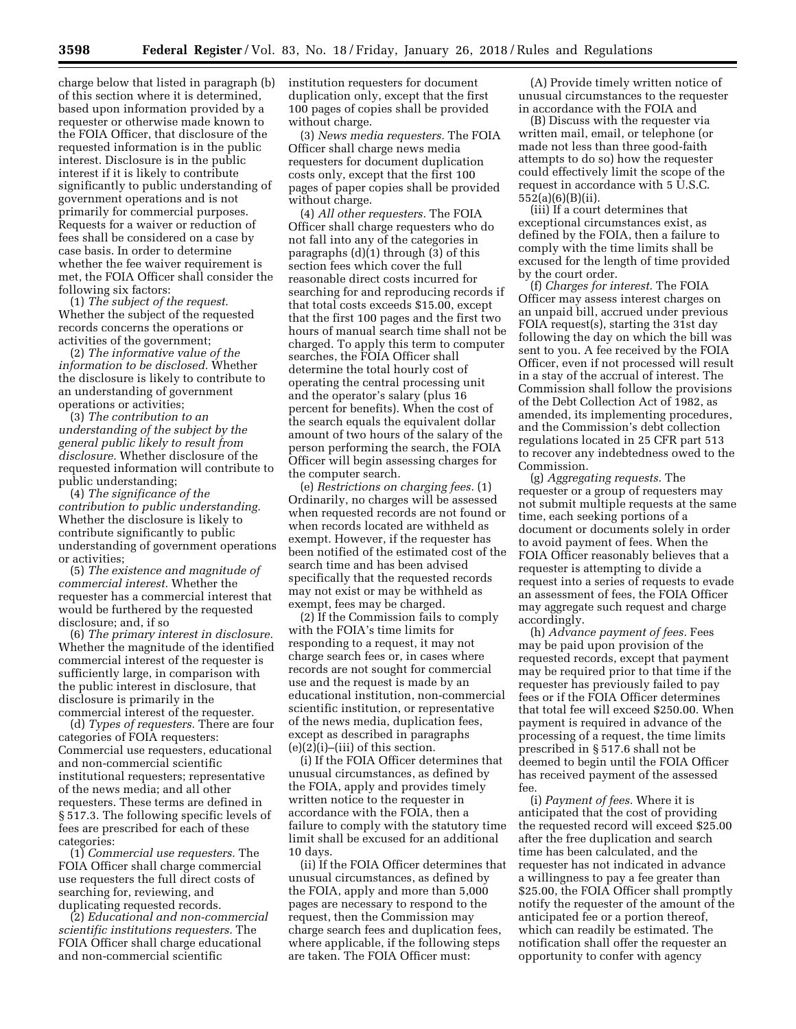charge below that listed in paragraph (b) of this section where it is determined, based upon information provided by a requester or otherwise made known to the FOIA Officer, that disclosure of the requested information is in the public interest. Disclosure is in the public interest if it is likely to contribute significantly to public understanding of government operations and is not primarily for commercial purposes. Requests for a waiver or reduction of fees shall be considered on a case by case basis. In order to determine whether the fee waiver requirement is met, the FOIA Officer shall consider the following six factors:

(1) *The subject of the request.*  Whether the subject of the requested records concerns the operations or activities of the government;

(2) *The informative value of the information to be disclosed.* Whether the disclosure is likely to contribute to an understanding of government operations or activities;

(3) *The contribution to an understanding of the subject by the general public likely to result from disclosure.* Whether disclosure of the requested information will contribute to public understanding;

(4) *The significance of the contribution to public understanding.*  Whether the disclosure is likely to contribute significantly to public understanding of government operations or activities;

(5) *The existence and magnitude of commercial interest.* Whether the requester has a commercial interest that would be furthered by the requested disclosure; and, if so

(6) *The primary interest in disclosure.*  Whether the magnitude of the identified commercial interest of the requester is sufficiently large, in comparison with the public interest in disclosure, that disclosure is primarily in the commercial interest of the requester.

(d) *Types of requesters.* There are four categories of FOIA requesters: Commercial use requesters, educational and non-commercial scientific institutional requesters; representative of the news media; and all other requesters. These terms are defined in § 517.3. The following specific levels of fees are prescribed for each of these categories:

(1) *Commercial use requesters.* The FOIA Officer shall charge commercial use requesters the full direct costs of searching for, reviewing, and duplicating requested records.

(2) *Educational and non-commercial scientific institutions requesters.* The FOIA Officer shall charge educational and non-commercial scientific

institution requesters for document duplication only, except that the first 100 pages of copies shall be provided without charge.

(3) *News media requesters.* The FOIA Officer shall charge news media requesters for document duplication costs only, except that the first 100 pages of paper copies shall be provided without charge.

(4) *All other requesters.* The FOIA Officer shall charge requesters who do not fall into any of the categories in paragraphs (d)(1) through (3) of this section fees which cover the full reasonable direct costs incurred for searching for and reproducing records if that total costs exceeds \$15.00, except that the first 100 pages and the first two hours of manual search time shall not be charged. To apply this term to computer searches, the FOIA Officer shall determine the total hourly cost of operating the central processing unit and the operator's salary (plus 16 percent for benefits). When the cost of the search equals the equivalent dollar amount of two hours of the salary of the person performing the search, the FOIA Officer will begin assessing charges for the computer search.

(e) *Restrictions on charging fees.* (1) Ordinarily, no charges will be assessed when requested records are not found or when records located are withheld as exempt. However, if the requester has been notified of the estimated cost of the search time and has been advised specifically that the requested records may not exist or may be withheld as exempt, fees may be charged.

(2) If the Commission fails to comply with the FOIA's time limits for responding to a request, it may not charge search fees or, in cases where records are not sought for commercial use and the request is made by an educational institution, non-commercial scientific institution, or representative of the news media, duplication fees, except as described in paragraphs  $(e)(2)(i)$ –(iii) of this section.

(i) If the FOIA Officer determines that unusual circumstances, as defined by the FOIA, apply and provides timely written notice to the requester in accordance with the FOIA, then a failure to comply with the statutory time limit shall be excused for an additional 10 days.

(ii) If the FOIA Officer determines that unusual circumstances, as defined by the FOIA, apply and more than 5,000 pages are necessary to respond to the request, then the Commission may charge search fees and duplication fees, where applicable, if the following steps are taken. The FOIA Officer must:

(A) Provide timely written notice of unusual circumstances to the requester in accordance with the FOIA and

(B) Discuss with the requester via written mail, email, or telephone (or made not less than three good-faith attempts to do so) how the requester could effectively limit the scope of the request in accordance with 5 U.S.C. 552(a)(6)(B)(ii).

(iii) If a court determines that exceptional circumstances exist, as defined by the FOIA, then a failure to comply with the time limits shall be excused for the length of time provided by the court order.

(f) *Charges for interest.* The FOIA Officer may assess interest charges on an unpaid bill, accrued under previous FOIA request(s), starting the 31st day following the day on which the bill was sent to you. A fee received by the FOIA Officer, even if not processed will result in a stay of the accrual of interest. The Commission shall follow the provisions of the Debt Collection Act of 1982, as amended, its implementing procedures, and the Commission's debt collection regulations located in 25 CFR part 513 to recover any indebtedness owed to the Commission.

(g) *Aggregating requests.* The requester or a group of requesters may not submit multiple requests at the same time, each seeking portions of a document or documents solely in order to avoid payment of fees. When the FOIA Officer reasonably believes that a requester is attempting to divide a request into a series of requests to evade an assessment of fees, the FOIA Officer may aggregate such request and charge accordingly.

(h) *Advance payment of fees.* Fees may be paid upon provision of the requested records, except that payment may be required prior to that time if the requester has previously failed to pay fees or if the FOIA Officer determines that total fee will exceed \$250.00. When payment is required in advance of the processing of a request, the time limits prescribed in § 517.6 shall not be deemed to begin until the FOIA Officer has received payment of the assessed fee.

(i) *Payment of fees.* Where it is anticipated that the cost of providing the requested record will exceed \$25.00 after the free duplication and search time has been calculated, and the requester has not indicated in advance a willingness to pay a fee greater than \$25.00, the FOIA Officer shall promptly notify the requester of the amount of the anticipated fee or a portion thereof, which can readily be estimated. The notification shall offer the requester an opportunity to confer with agency